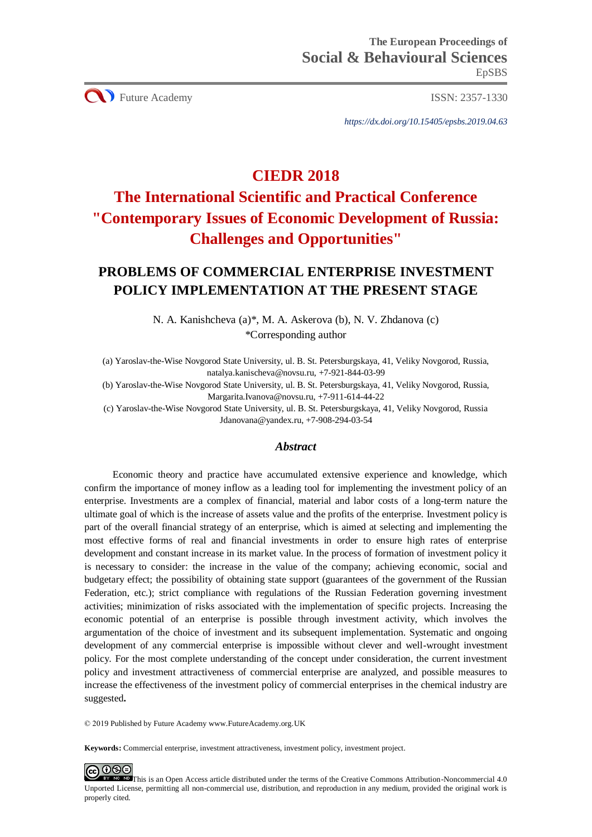**CO** Future Academy ISSN: 2357-1330

*https://dx.doi.org/10.15405/epsbs.2019.04.63*

# **CIEDR 2018**

# **The International Scientific and Practical Conference "Contemporary Issues of Economic Development of Russia: Challenges and Opportunities"**

# **PROBLEMS OF COMMERCIAL ENTERPRISE INVESTMENT POLICY IMPLEMENTATION AT THE PRESENT STAGE**

N. A. Kanishcheva (a)\*, M. A. Askerova (b), N. V. Zhdanova (c) \*Corresponding author

(a) Yaroslav-the-Wise Novgorod State University, ul. B. St. Petersburgskaya, 41, Veliky Novgorod, Russia, [natalya.kanischeva@novsu.ru,](mailto:natalya.kanischeva@novsu.ru) +7-921-844-03-99

(b) Yaroslav-the-Wise Novgorod State University, ul. B. St. Petersburgskaya, 41, Veliky Novgorod, Russia, [Margarita.Ivanova@novsu.ru,](mailto:Margarita.Ivanova@novsu.ru) +7-911-614-44-22

(c) Yaroslav-the-Wise Novgorod State University, ul. B. St. Petersburgskaya, 41, Veliky Novgorod, Russia [Jdanovana@yandex.ru,](mailto:Jdanovana@yandex.ru) +7-908-294-03-54

# *Abstract*

Economic theory and practice have accumulated extensive experience and knowledge, which confirm the importance of money inflow as a leading tool for implementing the investment policy of an enterprise. Investments are a complex of financial, material and labor costs of a long-term nature the ultimate goal of which is the increase of assets value and the profits of the enterprise. Investment policy is part of the overall financial strategy of an enterprise, which is aimed at selecting and implementing the most effective forms of real and financial investments in order to ensure high rates of enterprise development and constant increase in its market value. In the process of formation of investment policy it is necessary to consider: the increase in the value of the company; achieving economic, social and budgetary effect; the possibility of obtaining state support (guarantees of the government of the Russian Federation, etc.); strict compliance with regulations of the Russian Federation governing investment activities; minimization of risks associated with the implementation of specific projects. Increasing the economic potential of an enterprise is possible through investment activity, which involves the argumentation of the choice of investment and its subsequent implementation. Systematic and ongoing development of any commercial enterprise is impossible without clever and well-wrought investment policy. For the most complete understanding of the concept under consideration, the current investment policy and investment attractiveness of commercial enterprise are analyzed, and possible measures to increase the effectiveness of the investment policy of commercial enterprises in the chemical industry are suggested**.**

© 2019 Published by Future Academy www.FutureAcademy.org.UK

**Keywords:** Commercial enterprise, investment attractiveness, investment policy, investment project.

**ID** This is an Open Access article distributed under the terms of the Creative Commons Attribution-Noncommercial 4.0 Unported License, permitting all non-commercial use, distribution, and reproduction in any medium, provided the original work is properly cited.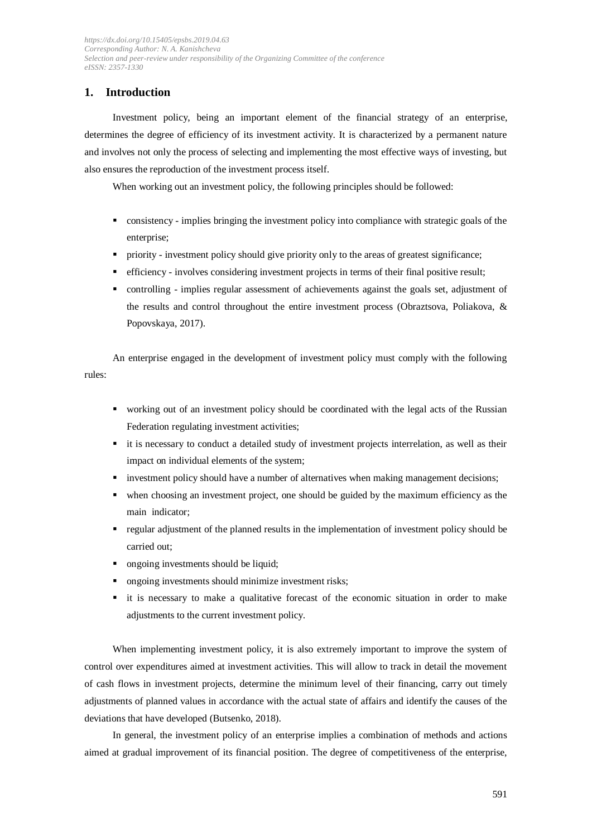# **1. Introduction**

Investment policy, being an important element of the financial strategy of an enterprise, determines the degree of efficiency of its investment activity. It is characterized by a permanent nature and involves not only the process of selecting and implementing the most effective ways of investing, but also ensures the reproduction of the investment process itself.

When working out an investment policy, the following principles should be followed:

- consistency implies bringing the investment policy into compliance with strategic goals of the enterprise:
- **•** priority investment policy should give priority only to the areas of greatest significance;
- **•** efficiency involves considering investment projects in terms of their final positive result;
- controlling implies regular assessment of achievements against the goals set, adjustment of the results and control throughout the entire investment process (Obraztsova, Poliakova, & Popovskaya, 2017).

An enterprise engaged in the development of investment policy must comply with the following rules:

- working out of an investment policy should be coordinated with the legal acts of the Russian Federation regulating investment activities;
- it is necessary to conduct a detailed study of investment projects interrelation, as well as their impact on individual elements of the system;
- **•** investment policy should have a number of alternatives when making management decisions;
- when choosing an investment project, one should be guided by the maximum efficiency as the main indicator;
- regular adjustment of the planned results in the implementation of investment policy should be carried out;
- **•** ongoing investments should be liquid;
- ongoing investments should minimize investment risks;
- it is necessary to make a qualitative forecast of the economic situation in order to make adjustments to the current investment policy.

When implementing investment policy, it is also extremely important to improve the system of control over expenditures aimed at investment activities. This will allow to track in detail the movement of cash flows in investment projects, determine the minimum level of their financing, carry out timely adjustments of planned values in accordance with the actual state of affairs and identify the causes of the deviations that have developed (Butsenko, 2018).

In general, the investment policy of an enterprise implies a combination of methods and actions aimed at gradual improvement of its financial position. The degree of competitiveness of the enterprise,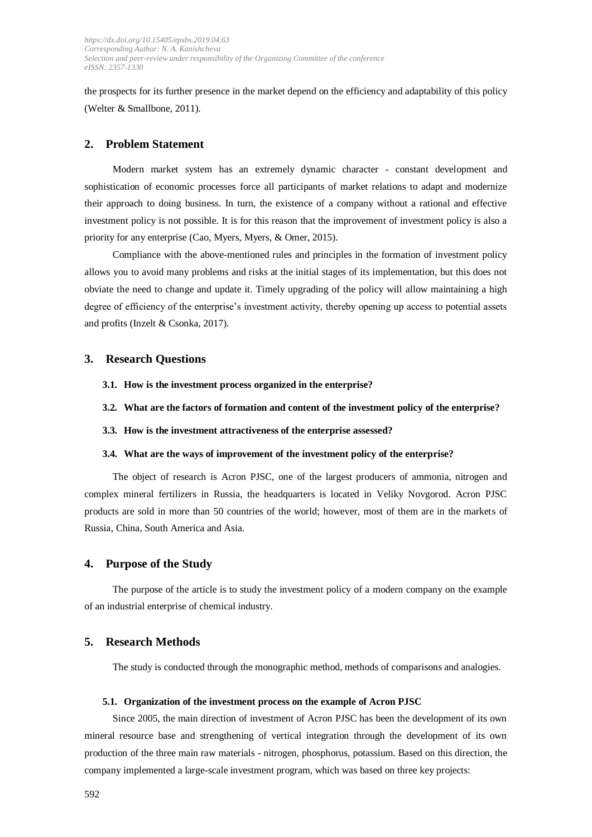the prospects for its further presence in the market depend on the efficiency and adaptability of this policy (Welter & Smallbone, 2011).

#### **2. Problem Statement**

Modern market system has an extremely dynamic character - constant development and sophistication of economic processes force all participants of market relations to adapt and modernize their approach to doing business. In turn, the existence of a company without a rational and effective investment policy is not possible. It is for this reason that the improvement of investment policy is also a priority for any enterprise (Cao, Myers, Myers, & Omer, 2015).

Compliance with the above-mentioned rules and principles in the formation of investment policy allows you to avoid many problems and risks at the initial stages of its implementation, but this does not obviate the need to change and update it. Timely upgrading of the policy will allow maintaining a high degree of efficiency of the enterprise's investment activity, thereby opening up access to potential assets and profits (Inzelt & Csonka, 2017).

#### **3. Research Questions**

- **3.1. How is the investment process organized in the enterprise?**
- **3.2. What are the factors of formation and content of the investment policy of the enterprise?**
- **3.3. How is the investment attractiveness of the enterprise assessed?**

#### **3.4. What are the ways of improvement of the investment policy of the enterprise?**

The object of research is Acron PJSC, one of the largest producers of ammonia, nitrogen and complex mineral fertilizers in Russia, the headquarters is located in Veliky Novgorod. Acron PJSC products are sold in more than 50 countries of the world; however, most of them are in the markets of Russia, China, South America and Asia.

#### **4. Purpose of the Study**

The purpose of the article is to study the investment policy of a modern company on the example of an industrial enterprise of chemical industry.

#### **5. Research Methods**

The study is conducted through the monographic method, methods of comparisons and analogies.

### **5.1. Organization of the investment process on the example of Acron PJSC**

Since 2005, the main direction of investment of Acron PJSC has been the development of its own mineral resource base and strengthening of vertical integration through the development of its own production of the three main raw materials - nitrogen, phosphorus, potassium. Based on this direction, the company implemented a large-scale investment program, which was based on three key projects: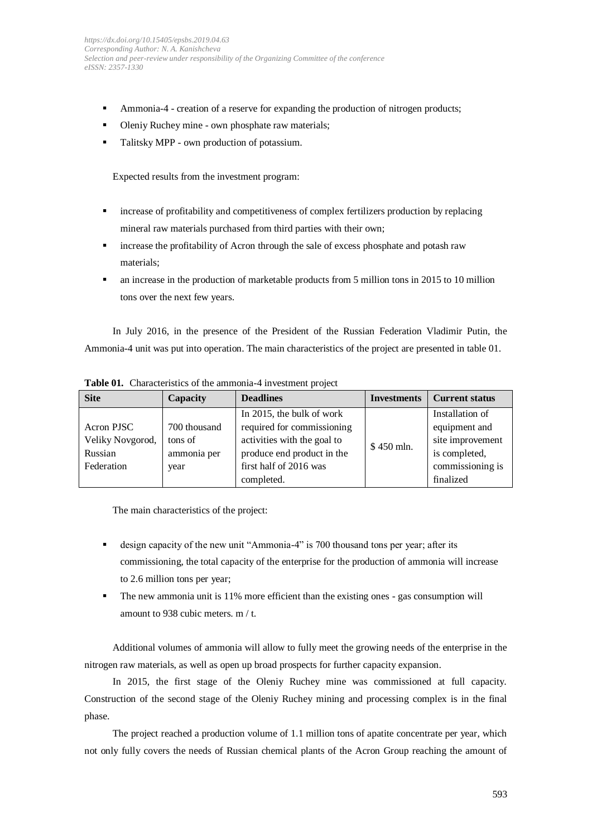- **•** Ammonia-4 creation of a reserve for expanding the production of nitrogen products;
- Oleniy Ruchey mine own phosphate raw materials;
- Talitsky MPP own production of potassium.

Expected results from the investment program:

- increase of profitability and competitiveness of complex fertilizers production by replacing mineral raw materials purchased from third parties with their own;
- increase the profitability of Acron through the sale of excess phosphate and potash raw materials;
- an increase in the production of marketable products from 5 million tons in 2015 to 10 million tons over the next few years.

In July 2016, in the presence of the President of the Russian Federation Vladimir Putin, the Ammonia-4 unit was put into operation. The main characteristics of the project are presented in table 01.

| <b>Site</b>      | Capacity     | <b>Deadlines</b>            | <b>Investments</b> | <b>Current status</b> |
|------------------|--------------|-----------------------------|--------------------|-----------------------|
|                  |              | In 2015, the bulk of work   |                    | Installation of       |
| Acron PJSC       | 700 thousand | required for commissioning  |                    | equipment and         |
| Veliky Novgorod, | tons of      | activities with the goal to | $$450$ mln.        | site improvement      |
| Russian          | ammonia per  | produce end product in the  |                    | is completed,         |
| Federation       | year         | first half of 2016 was      |                    | commissioning is      |
|                  |              | completed.                  |                    | finalized             |

**Table 01.** Characteristics of the ammonia-4 investment project

The main characteristics of the project:

- design capacity of the new unit "Ammonia-4" is 700 thousand tons per year; after its commissioning, the total capacity of the enterprise for the production of ammonia will increase to 2.6 million tons per year;
- The new ammonia unit is 11% more efficient than the existing ones gas consumption will amount to 938 cubic meters. m / t.

Additional volumes of ammonia will allow to fully meet the growing needs of the enterprise in the nitrogen raw materials, as well as open up broad prospects for further capacity expansion.

In 2015, the first stage of the Oleniy Ruchey mine was commissioned at full capacity. Construction of the second stage of the Oleniy Ruchey mining and processing complex is in the final phase.

The project reached a production volume of 1.1 million tons of apatite concentrate per year, which not only fully covers the needs of Russian chemical plants of the Acron Group reaching the amount of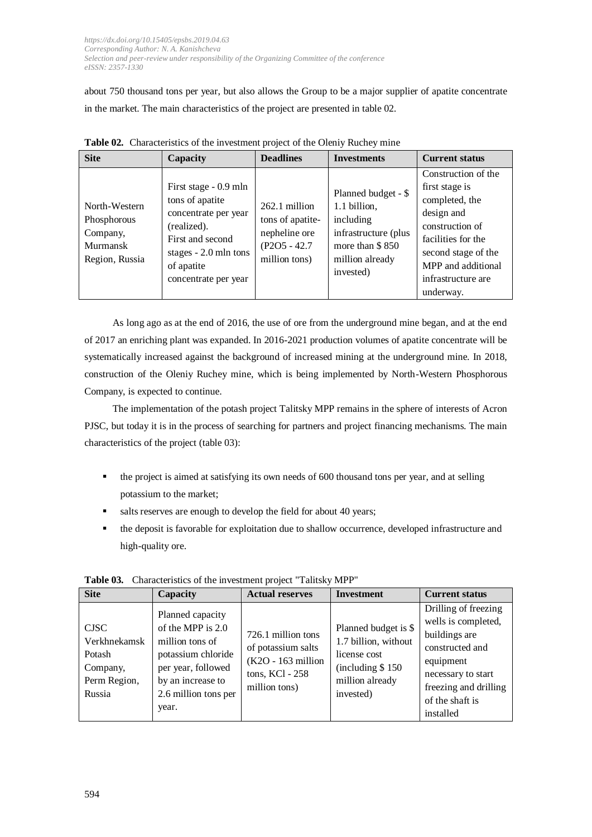about 750 thousand tons per year, but also allows the Group to be a major supplier of apatite concentrate in the market. The main characteristics of the project are presented in table 02.

| <b>Site</b>                                                            | Capacity                                                                                                                                                            | <b>Deadlines</b>                                                                         | <b>Investments</b>                                                                                                          | <b>Current status</b>                                                                                                                                                                          |
|------------------------------------------------------------------------|---------------------------------------------------------------------------------------------------------------------------------------------------------------------|------------------------------------------------------------------------------------------|-----------------------------------------------------------------------------------------------------------------------------|------------------------------------------------------------------------------------------------------------------------------------------------------------------------------------------------|
| North-Western<br>Phosphorous<br>Company,<br>Murmansk<br>Region, Russia | First stage - 0.9 mln<br>tons of apatite<br>concentrate per year<br>(realized).<br>First and second<br>stages $-2.0$ mln tons<br>of apatite<br>concentrate per year | $262.1$ million<br>tons of apatite-<br>nepheline ore<br>$(P2O5 - 42.7)$<br>million tons) | Planned budget - \$<br>1.1 billion,<br>including<br>infrastructure (plus<br>more than \$850<br>million already<br>invested) | Construction of the<br>first stage is<br>completed, the<br>design and<br>construction of<br>facilities for the<br>second stage of the<br>MPP and additional<br>infrastructure are<br>underway. |

**Table 02.** Characteristics of the investment project of the Oleniy Ruchey mine

As long ago as at the end of 2016, the use of ore from the underground mine began, and at the end of 2017 an enriching plant was expanded. In 2016-2021 production volumes of apatite concentrate will be systematically increased against the background of increased mining at the underground mine. In 2018, construction of the Oleniy Ruchey mine, which is being implemented by North-Western Phosphorous Company, is expected to continue.

The implementation of the potash project Talitsky MPP remains in the sphere of interests of Acron PJSC, but today it is in the process of searching for partners and project financing mechanisms. The main characteristics of the project (table 03):

- the project is aimed at satisfying its own needs of 600 thousand tons per year, and at selling potassium to the market;
- salts reserves are enough to develop the field for about 40 years;
- the deposit is favorable for exploitation due to shallow occurrence, developed infrastructure and high-quality ore.

| <b>Site</b>                                                                 | Capacity                                                                                                                                                     | <b>Actual reserves</b>                                                                              | <b>Investment</b>                                                                                                | <b>Current status</b>                                                                                                                                                       |
|-----------------------------------------------------------------------------|--------------------------------------------------------------------------------------------------------------------------------------------------------------|-----------------------------------------------------------------------------------------------------|------------------------------------------------------------------------------------------------------------------|-----------------------------------------------------------------------------------------------------------------------------------------------------------------------------|
| <b>CJSC</b><br>Verkhnekamsk<br>Potash<br>Company,<br>Perm Region,<br>Russia | Planned capacity<br>of the MPP is $2.0$<br>million tons of<br>potassium chloride<br>per year, followed<br>by an increase to<br>2.6 million tons per<br>year. | 726.1 million tons<br>of potassium salts<br>(K2O - 163 million)<br>tons, KCl - 258<br>million tons) | Planned budget is \$<br>1.7 billion, without<br>license cost<br>(including \$150<br>million already<br>invested) | Drilling of freezing<br>wells is completed,<br>buildings are<br>constructed and<br>equipment<br>necessary to start<br>freezing and drilling<br>of the shaft is<br>installed |

**Table 03.** Characteristics of the investment project "Talitsky MPP"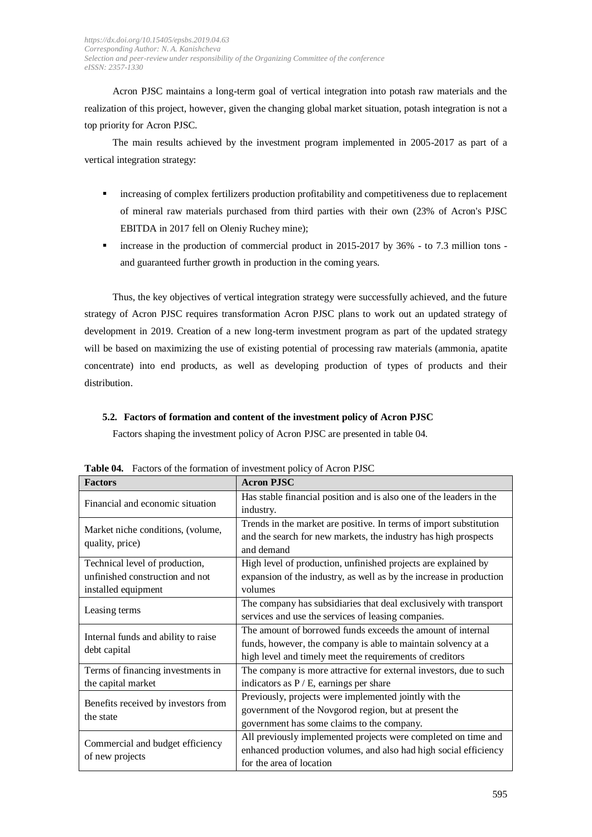Acron PJSC maintains a long-term goal of vertical integration into potash raw materials and the realization of this project, however, given the changing global market situation, potash integration is not a top priority for Acron PJSC.

The main results achieved by the investment program implemented in 2005-2017 as part of a vertical integration strategy:

- $\blacksquare$  increasing of complex fertilizers production profitability and competitiveness due to replacement of mineral raw materials purchased from third parties with their own (23% of Acron's PJSC EBITDA in 2017 fell on Oleniy Ruchey mine);
- increase in the production of commercial product in  $2015-2017$  by  $36\%$  to 7.3 million tons and guaranteed further growth in production in the coming years.

Thus, the key objectives of vertical integration strategy were successfully achieved, and the future strategy of Acron PJSC requires transformation Acron PJSC plans to work out an updated strategy of development in 2019. Creation of a new long-term investment program as part of the updated strategy will be based on maximizing the use of existing potential of processing raw materials (ammonia, apatite concentrate) into end products, as well as developing production of types of products and their distribution.

# **5.2. Factors of formation and content of the investment policy of Acron PJSC**

Factors shaping the investment policy of Acron PJSC are presented in table 04.

| <b>Factors</b>                      | <b>Acron PJSC</b>                                                   |  |  |
|-------------------------------------|---------------------------------------------------------------------|--|--|
|                                     | Has stable financial position and is also one of the leaders in the |  |  |
| Financial and economic situation    | industry.                                                           |  |  |
| Market niche conditions, (volume,   | Trends in the market are positive. In terms of import substitution  |  |  |
| quality, price)                     | and the search for new markets, the industry has high prospects     |  |  |
|                                     | and demand                                                          |  |  |
| Technical level of production,      | High level of production, unfinished projects are explained by      |  |  |
| unfinished construction and not     | expansion of the industry, as well as by the increase in production |  |  |
| installed equipment                 | volumes                                                             |  |  |
| Leasing terms                       | The company has subsidiaries that deal exclusively with transport   |  |  |
|                                     | services and use the services of leasing companies.                 |  |  |
| Internal funds and ability to raise | The amount of borrowed funds exceeds the amount of internal         |  |  |
|                                     | funds, however, the company is able to maintain solvency at a       |  |  |
| debt capital                        | high level and timely meet the requirements of creditors            |  |  |
| Terms of financing investments in   | The company is more attractive for external investors, due to such  |  |  |
| the capital market                  | indicators as $P / E$ , earnings per share                          |  |  |
| Benefits received by investors from | Previously, projects were implemented jointly with the              |  |  |
| the state                           | government of the Novgorod region, but at present the               |  |  |
|                                     | government has some claims to the company.                          |  |  |
|                                     | All previously implemented projects were completed on time and      |  |  |
| Commercial and budget efficiency    | enhanced production volumes, and also had high social efficiency    |  |  |
| of new projects                     | for the area of location                                            |  |  |

**Table 04.** Factors of the formation of investment policy of Acron PJSC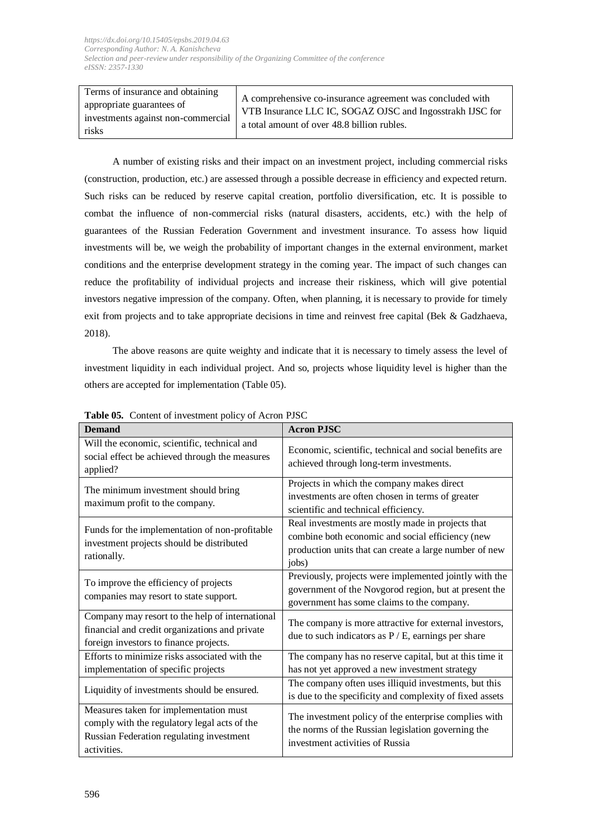| Terms of insurance and obtaining<br>appropriate guarantees of<br>investments against non-commercial | A comprehensive co-insurance agreement was concluded with<br>VTB Insurance LLC IC, SOGAZ OJSC and Ingosstrakh IJSC for |  |
|-----------------------------------------------------------------------------------------------------|------------------------------------------------------------------------------------------------------------------------|--|
|                                                                                                     | a total amount of over 48.8 billion rubles.                                                                            |  |
| risks                                                                                               |                                                                                                                        |  |

A number of existing risks and their impact on an investment project, including commercial risks (construction, production, etc.) are assessed through a possible decrease in efficiency and expected return. Such risks can be reduced by reserve capital creation, portfolio diversification, etc. It is possible to combat the influence of non-commercial risks (natural disasters, accidents, etc.) with the help of guarantees of the Russian Federation Government and investment insurance. To assess how liquid investments will be, we weigh the probability of important changes in the external environment, market conditions and the enterprise development strategy in the coming year. The impact of such changes can reduce the profitability of individual projects and increase their riskiness, which will give potential investors negative impression of the company. Often, when planning, it is necessary to provide for timely exit from projects and to take appropriate decisions in time and reinvest free capital (Bek & Gadzhaeva, 2018).

The above reasons are quite weighty and indicate that it is necessary to timely assess the level of investment liquidity in each individual project. And so, projects whose liquidity level is higher than the others are accepted for implementation (Table 05).

| <b>Demand</b>                                                                                                                                     | <b>Acron PJSC</b>                                                                                                                                                        |  |
|---------------------------------------------------------------------------------------------------------------------------------------------------|--------------------------------------------------------------------------------------------------------------------------------------------------------------------------|--|
| Will the economic, scientific, technical and<br>social effect be achieved through the measures<br>applied?                                        | Economic, scientific, technical and social benefits are<br>achieved through long-term investments.                                                                       |  |
| The minimum investment should bring<br>maximum profit to the company.                                                                             | Projects in which the company makes direct<br>investments are often chosen in terms of greater<br>scientific and technical efficiency.                                   |  |
| Funds for the implementation of non-profitable<br>investment projects should be distributed<br>rationally.                                        | Real investments are mostly made in projects that<br>combine both economic and social efficiency (new<br>production units that can create a large number of new<br>jobs) |  |
| To improve the efficiency of projects<br>companies may resort to state support.                                                                   | Previously, projects were implemented jointly with the<br>government of the Novgorod region, but at present the<br>government has some claims to the company.            |  |
| Company may resort to the help of international<br>financial and credit organizations and private<br>foreign investors to finance projects.       | The company is more attractive for external investors,<br>due to such indicators as $P / E$ , earnings per share                                                         |  |
| Efforts to minimize risks associated with the<br>implementation of specific projects                                                              | The company has no reserve capital, but at this time it<br>has not yet approved a new investment strategy                                                                |  |
| Liquidity of investments should be ensured.                                                                                                       | The company often uses illiquid investments, but this<br>is due to the specificity and complexity of fixed assets                                                        |  |
| Measures taken for implementation must<br>comply with the regulatory legal acts of the<br>Russian Federation regulating investment<br>activities. | The investment policy of the enterprise complies with<br>the norms of the Russian legislation governing the<br>investment activities of Russia                           |  |

# **Table 05.** Content of investment policy of Acron PJSC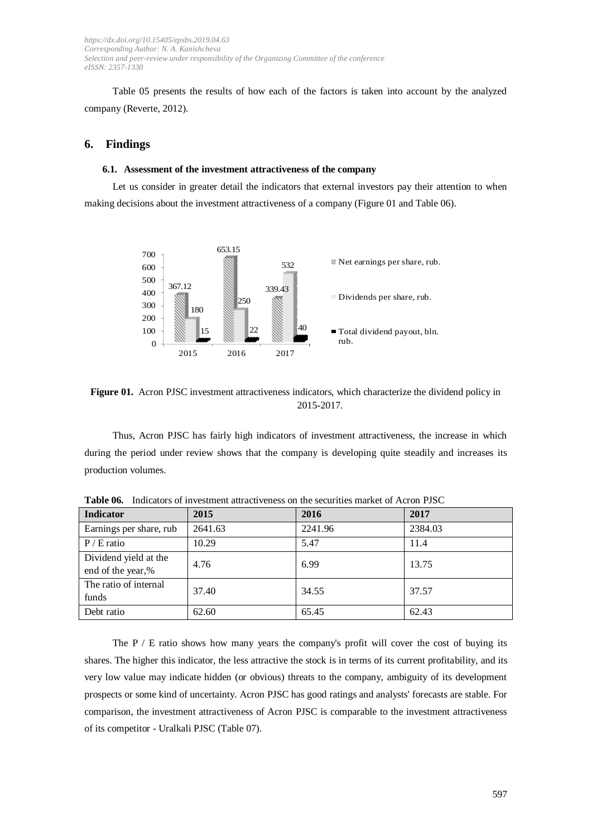Table 05 presents the results of how each of the factors is taken into account by the analyzed company (Reverte, 2012).

#### **6. Findings**

#### **6.1. Assessment of the investment attractiveness of the company**

Let us consider in greater detail the indicators that external investors pay their attention to when making decisions about the investment attractiveness of a company (Figure 01 and Table 06).



**Figure 01.** Acron PJSC investment attractiveness indicators, which characterize the dividend policy in 2015-2017.

Thus, Acron PJSC has fairly high indicators of investment attractiveness, the increase in which during the period under review shows that the company is developing quite steadily and increases its production volumes.

| <b>Indicator</b>        | 2015    | 2016    | 2017    |
|-------------------------|---------|---------|---------|
| Earnings per share, rub | 2641.63 | 2241.96 | 2384.03 |
| $P / E$ ratio           | 10.29   | 5.47    | 11.4    |
| Dividend yield at the   | 4.76    | 6.99    | 13.75   |
| end of the year,%       |         |         |         |
| The ratio of internal   | 37.40   | 34.55   | 37.57   |
| funds                   |         |         |         |
| Debt ratio              | 62.60   | 65.45   | 62.43   |

**Table 06.** Indicators of investment attractiveness on the securities market of Acron PJSC

The  $P / E$  ratio shows how many years the company's profit will cover the cost of buying its shares. The higher this indicator, the less attractive the stock is in terms of its current profitability, and its very low value may indicate hidden (or obvious) threats to the company, ambiguity of its development prospects or some kind of uncertainty. Acron PJSC has good ratings and analysts' forecasts are stable. For comparison, the investment attractiveness of Acron PJSC is comparable to the investment attractiveness of its competitor - Uralkali PJSC (Table 07).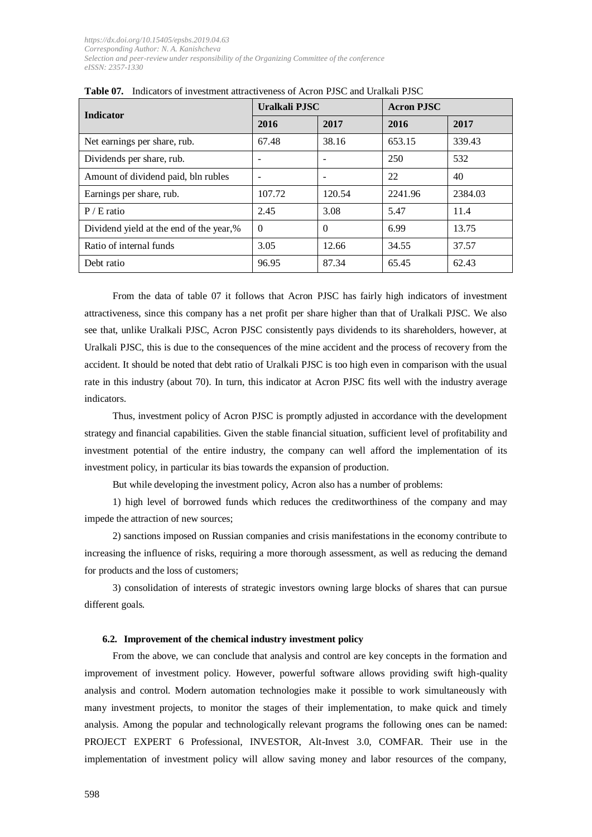| <b>Indicator</b>                        | Uralkali PJSC |                          | <b>Acron PJSC</b> |         |
|-----------------------------------------|---------------|--------------------------|-------------------|---------|
|                                         | 2016          | 2017                     | 2016              | 2017    |
| Net earnings per share, rub.            | 67.48         | 38.16                    | 653.15            | 339.43  |
| Dividends per share, rub.               |               | $\overline{\phantom{0}}$ | 250               | 532     |
| Amount of dividend paid, bln rubles     |               | ۰                        | 22                | 40      |
| Earnings per share, rub.                | 107.72        | 120.54                   | 2241.96           | 2384.03 |
| $P / E$ ratio                           | 2.45          | 3.08                     | 5.47              | 11.4    |
| Dividend yield at the end of the year,% | $\Omega$      | $\Omega$                 | 6.99              | 13.75   |
| Ratio of internal funds                 | 3.05          | 12.66                    | 34.55             | 37.57   |
| Debt ratio                              | 96.95         | 87.34                    | 65.45             | 62.43   |

|  | <b>Table 07.</b> Indicators of investment attractiveness of Acron PJSC and Uralkali PJSC |  |  |
|--|------------------------------------------------------------------------------------------|--|--|
|--|------------------------------------------------------------------------------------------|--|--|

From the data of table 07 it follows that Acron PJSC has fairly high indicators of investment attractiveness, since this company has a net profit per share higher than that of Uralkali PJSC. We also see that, unlike Uralkali PJSC, Acron PJSC consistently pays dividends to its shareholders, however, at Uralkali PJSC, this is due to the consequences of the mine accident and the process of recovery from the accident. It should be noted that debt ratio of Uralkali PJSC is too high even in comparison with the usual rate in this industry (about 70). In turn, this indicator at Acron PJSC fits well with the industry average indicators.

Thus, investment policy of Acron PJSC is promptly adjusted in accordance with the development strategy and financial capabilities. Given the stable financial situation, sufficient level of profitability and investment potential of the entire industry, the company can well afford the implementation of its investment policy, in particular its bias towards the expansion of production.

But while developing the investment policy, Acron also has a number of problems:

1) high level of borrowed funds which reduces the creditworthiness of the company and may impede the attraction of new sources;

2) sanctions imposed on Russian companies and crisis manifestations in the economy contribute to increasing the influence of risks, requiring a more thorough assessment, as well as reducing the demand for products and the loss of customers;

3) consolidation of interests of strategic investors owning large blocks of shares that can pursue different goals.

#### **6.2. Improvement of the chemical industry investment policy**

From the above, we can conclude that analysis and control are key concepts in the formation and improvement of investment policy. However, powerful software allows providing swift high-quality analysis and control. Modern automation technologies make it possible to work simultaneously with many investment projects, to monitor the stages of their implementation, to make quick and timely analysis. Among the popular and technologically relevant programs the following ones can be named: PROJECT EXPERT 6 Professional, INVESTOR, Alt-Invest 3.0, COMFAR. Their use in the implementation of investment policy will allow saving money and labor resources of the company,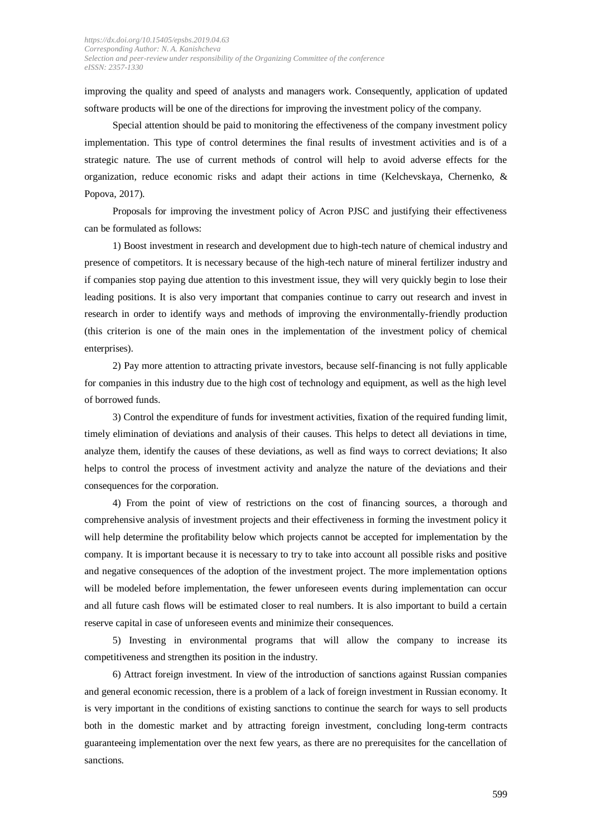improving the quality and speed of analysts and managers work. Consequently, application of updated software products will be one of the directions for improving the investment policy of the company.

Special attention should be paid to monitoring the effectiveness of the company investment policy implementation. This type of control determines the final results of investment activities and is of a strategic nature. The use of current methods of control will help to avoid adverse effects for the organization, reduce economic risks and adapt their actions in time (Kelchevskaya, Chernenko, & Popova, 2017).

Proposals for improving the investment policy of Acron PJSC and justifying their effectiveness can be formulated as follows:

1) Boost investment in research and development due to high-tech nature of chemical industry and presence of competitors. It is necessary because of the high-tech nature of mineral fertilizer industry and if companies stop paying due attention to this investment issue, they will very quickly begin to lose their leading positions. It is also very important that companies continue to carry out research and invest in research in order to identify ways and methods of improving the environmentally-friendly production (this criterion is one of the main ones in the implementation of the investment policy of chemical enterprises).

2) Pay more attention to attracting private investors, because self-financing is not fully applicable for companies in this industry due to the high cost of technology and equipment, as well as the high level of borrowed funds.

3) Control the expenditure of funds for investment activities, fixation of the required funding limit, timely elimination of deviations and analysis of their causes. This helps to detect all deviations in time, analyze them, identify the causes of these deviations, as well as find ways to correct deviations; It also helps to control the process of investment activity and analyze the nature of the deviations and their consequences for the corporation.

4) From the point of view of restrictions on the cost of financing sources, a thorough and comprehensive analysis of investment projects and their effectiveness in forming the investment policy it will help determine the profitability below which projects cannot be accepted for implementation by the company. It is important because it is necessary to try to take into account all possible risks and positive and negative consequences of the adoption of the investment project. The more implementation options will be modeled before implementation, the fewer unforeseen events during implementation can occur and all future cash flows will be estimated closer to real numbers. It is also important to build a certain reserve capital in case of unforeseen events and minimize their consequences.

5) Investing in environmental programs that will allow the company to increase its competitiveness and strengthen its position in the industry.

6) Attract foreign investment. In view of the introduction of sanctions against Russian companies and general economic recession, there is a problem of a lack of foreign investment in Russian economy. It is very important in the conditions of existing sanctions to continue the search for ways to sell products both in the domestic market and by attracting foreign investment, concluding long-term contracts guaranteeing implementation over the next few years, as there are no prerequisites for the cancellation of sanctions.